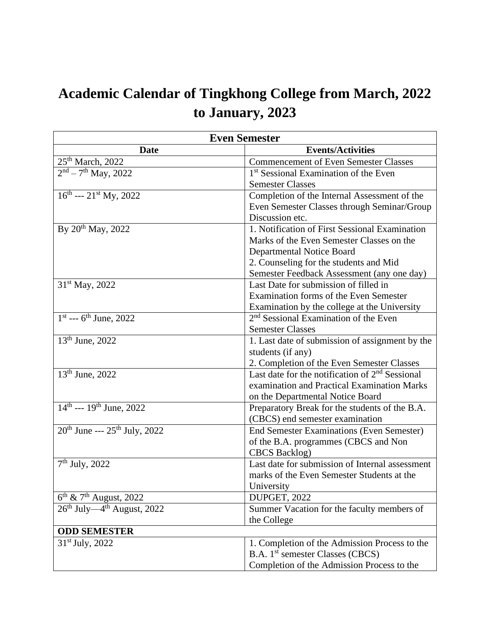## **Academic Calendar of Tingkhong College from March, 2022 to January, 2023**

| <b>Even Semester</b>                             |                                                   |  |  |  |
|--------------------------------------------------|---------------------------------------------------|--|--|--|
| <b>Date</b>                                      | <b>Events/Activities</b>                          |  |  |  |
| 25 <sup>th</sup> March, 2022                     | <b>Commencement of Even Semester Classes</b>      |  |  |  |
| $\sqrt{2^{nd} - 7^{th}}$ May, 2022               | 1 <sup>st</sup> Sessional Examination of the Even |  |  |  |
|                                                  | <b>Semester Classes</b>                           |  |  |  |
| $16^{th}$ --- $21^{st}$ My, 2022                 | Completion of the Internal Assessment of the      |  |  |  |
|                                                  | Even Semester Classes through Seminar/Group       |  |  |  |
|                                                  | Discussion etc.                                   |  |  |  |
| By 20 <sup>th</sup> May, 2022                    | 1. Notification of First Sessional Examination    |  |  |  |
|                                                  | Marks of the Even Semester Classes on the         |  |  |  |
|                                                  | Departmental Notice Board                         |  |  |  |
|                                                  | 2. Counseling for the students and Mid            |  |  |  |
|                                                  | Semester Feedback Assessment (any one day)        |  |  |  |
| $31st$ May, 2022                                 | Last Date for submission of filled in             |  |  |  |
|                                                  | Examination forms of the Even Semester            |  |  |  |
|                                                  | Examination by the college at the University      |  |  |  |
| $1st -- 6th June, 2022$                          | 2 <sup>nd</sup> Sessional Examination of the Even |  |  |  |
|                                                  | <b>Semester Classes</b>                           |  |  |  |
| $13th$ June, 2022                                | 1. Last date of submission of assignment by the   |  |  |  |
|                                                  | students (if any)                                 |  |  |  |
|                                                  | 2. Completion of the Even Semester Classes        |  |  |  |
| $13th$ June, 2022                                | Last date for the notification of $2nd$ Sessional |  |  |  |
|                                                  | examination and Practical Examination Marks       |  |  |  |
|                                                  | on the Departmental Notice Board                  |  |  |  |
| $14^{\text{th}}$ --- $19^{\text{th}}$ June, 2022 | Preparatory Break for the students of the B.A.    |  |  |  |
|                                                  | (CBCS) end semester examination                   |  |  |  |
| $20^{th}$ June --- $25^{th}$ July, 2022          | <b>End Semester Examinations (Even Semester)</b>  |  |  |  |
|                                                  | of the B.A. programmes (CBCS and Non              |  |  |  |
|                                                  | <b>CBCS</b> Backlog)                              |  |  |  |
| $7th$ July, 2022                                 | Last date for submission of Internal assessment   |  |  |  |
|                                                  | marks of the Even Semester Students at the        |  |  |  |
|                                                  | University                                        |  |  |  |
| $\overline{6^{th} \& 7^{th}}$ August, 2022       | DUPGET, 2022                                      |  |  |  |
| $26th$ July—4 <sup>th</sup> August, 2022         | Summer Vacation for the faculty members of        |  |  |  |
|                                                  | the College                                       |  |  |  |
| <b>ODD SEMESTER</b>                              |                                                   |  |  |  |
| $31st$ July, 2022                                | 1. Completion of the Admission Process to the     |  |  |  |
|                                                  | B.A. 1 <sup>st</sup> semester Classes (CBCS)      |  |  |  |
|                                                  | Completion of the Admission Process to the        |  |  |  |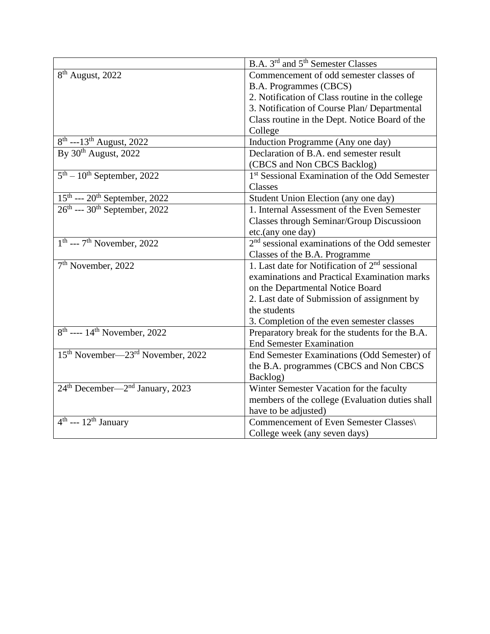|                                                                                                                                   | B.A. 3 <sup>rd</sup> and 5 <sup>th</sup> Semester Classes  |  |  |
|-----------------------------------------------------------------------------------------------------------------------------------|------------------------------------------------------------|--|--|
| 8 <sup>th</sup> August, 2022                                                                                                      | Commencement of odd semester classes of                    |  |  |
|                                                                                                                                   | B.A. Programmes (CBCS)                                     |  |  |
|                                                                                                                                   | 2. Notification of Class routine in the college            |  |  |
|                                                                                                                                   | 3. Notification of Course Plan/ Departmental               |  |  |
|                                                                                                                                   | Class routine in the Dept. Notice Board of the             |  |  |
|                                                                                                                                   | College                                                    |  |  |
| $\frac{8^{th} - 13^{th}$ August, 2022<br>By 30 <sup>th</sup> August, 2022                                                         | Induction Programme (Any one day)                          |  |  |
|                                                                                                                                   | Declaration of B.A. end semester result                    |  |  |
|                                                                                                                                   | (CBCS and Non CBCS Backlog)                                |  |  |
| $5th - 10th$ September, 2022                                                                                                      | 1 <sup>st</sup> Sessional Examination of the Odd Semester  |  |  |
|                                                                                                                                   | Classes                                                    |  |  |
| $\frac{15^{\text{th}}}{26^{\text{th}} - 20^{\text{th}}}$ September, 2022<br>26 <sup>th</sup> --- 30 <sup>th</sup> September, 2022 | Student Union Election (any one day)                       |  |  |
|                                                                                                                                   | 1. Internal Assessment of the Even Semester                |  |  |
|                                                                                                                                   | <b>Classes through Seminar/Group Discussioon</b>           |  |  |
|                                                                                                                                   | etc.(any one day)                                          |  |  |
| $1th$ --- $7th$ November, 2022                                                                                                    | $2nd$ sessional examinations of the Odd semester           |  |  |
|                                                                                                                                   | Classes of the B.A. Programme                              |  |  |
| 7 <sup>th</sup> November, 2022                                                                                                    | 1. Last date for Notification of 2 <sup>nd</sup> sessional |  |  |
|                                                                                                                                   | examinations and Practical Examination marks               |  |  |
|                                                                                                                                   | on the Departmental Notice Board                           |  |  |
|                                                                                                                                   | 2. Last date of Submission of assignment by                |  |  |
|                                                                                                                                   | the students                                               |  |  |
|                                                                                                                                   | 3. Completion of the even semester classes                 |  |  |
| $8th$ ---- 14 <sup>th</sup> November, 2022                                                                                        | Preparatory break for the students for the B.A.            |  |  |
|                                                                                                                                   | <b>End Semester Examination</b>                            |  |  |
| 15 <sup>th</sup> November-23 <sup>rd</sup> November, 2022                                                                         | End Semester Examinations (Odd Semester) of                |  |  |
|                                                                                                                                   | the B.A. programmes (CBCS and Non CBCS                     |  |  |
|                                                                                                                                   | Backlog)                                                   |  |  |
| 24 <sup>th</sup> December—2 <sup>nd</sup> January, 2023                                                                           | Winter Semester Vacation for the faculty                   |  |  |
|                                                                                                                                   | members of the college (Evaluation duties shall            |  |  |
|                                                                                                                                   | have to be adjusted)                                       |  |  |
| $4th$ --- 12 <sup>th</sup> January                                                                                                | Commencement of Even Semester Classes\                     |  |  |
|                                                                                                                                   | College week (any seven days)                              |  |  |